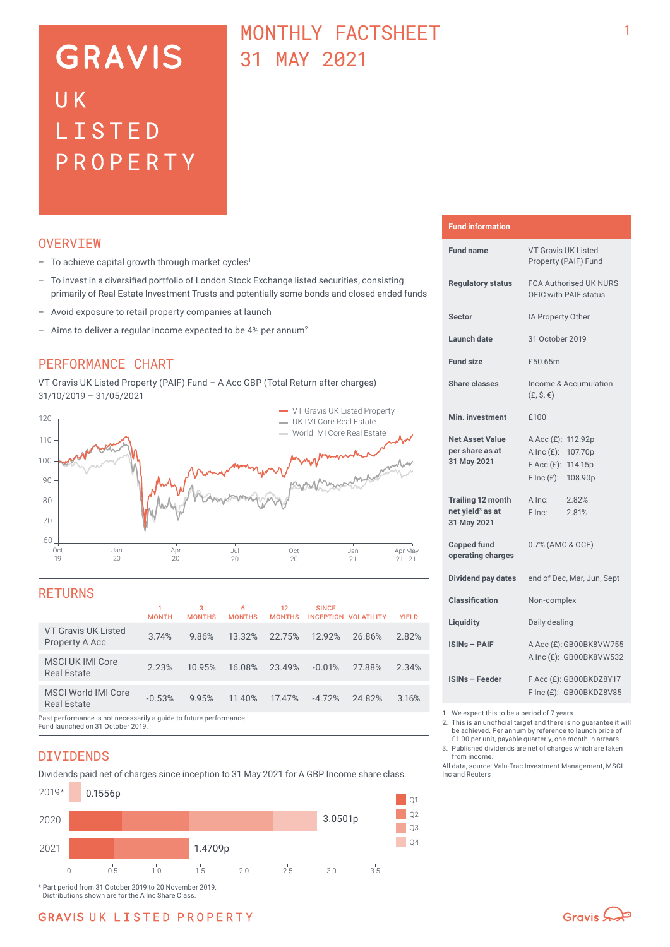# **GRAVIS** UK LISTED PROPERTY

## MONTHI Y FACTSHEET 31 MAY 2021

### **OVERVTEW**

- $-$  To achieve capital growth through market cycles<sup>1</sup>
- To invest in a diversified portfolio of London Stock Exchange listed securities, consisting primarily of Real Estate Investment Trusts and potentially some bonds and closed ended funds
- Avoid exposure to retail property companies at launch
- Aims to deliver a regular income expected to be 4% per annum<sup>2</sup>

### PERFORMANCE CHART

VT Gravis UK Listed Property (PAIF) Fund – A Acc GBP (Total Return after charges) 31/10/2019 – 31/05/2021



### **RETURNS**

|                                                                    | <b>MONTH</b> | 3<br><b>MONTHS</b> | 6<br><b>MONTHS</b> | 12<br><b>MONTHS</b> | <b>SINCE</b><br><b>INCEPTION VOLATILITY</b> |        | <b>YIELD</b> |
|--------------------------------------------------------------------|--------------|--------------------|--------------------|---------------------|---------------------------------------------|--------|--------------|
| VT Gravis UK Listed<br>Property A Acc                              | 3.74%        | 9.86%              | 13.32%             | 22.75%              | 12.92%                                      | 26.86% | 2.82%        |
| MSCI UK IMI Core<br>Real Estate                                    | 2.23%        | 10.95%             | 16.08%             | 23.49%              | $-0.01%$                                    | 27.88% | 2.34%        |
| MSCI World IMI Core<br><b>Real Estate</b>                          | $-0.53%$     | 9.95%              | 11.40%             | 17.47%              | $-4.72%$                                    | 24.82% | 3.16%        |
| Past performance is not necessarily a quide to future performance. |              |                    |                    |                     |                                             |        |              |

Past performance is not necessarily a guide to future performance. Fund launched on 31 October 2019.

## DIVIDENDS

Dividends paid net of charges since inception to 31 May 2021 for A GBP Income share class.



**Fund information**

| <b>Fund name</b>                                                        | <b>VT Gravis UK Listed</b><br>Property (PAIF) Fund                                               |  |  |  |
|-------------------------------------------------------------------------|--------------------------------------------------------------------------------------------------|--|--|--|
| <b>Requlatory status</b>                                                | <b>FCA Authorised UK NURS</b><br>OEIC with PAIF status                                           |  |  |  |
| <b>Sector</b>                                                           | IA Property Other                                                                                |  |  |  |
| Launch date                                                             | 31 October 2019                                                                                  |  |  |  |
| <b>Fund size</b>                                                        | £50.65m                                                                                          |  |  |  |
| <b>Share classes</b>                                                    | Income & Accumulation<br>$(E, \hat{S}, \epsilon)$                                                |  |  |  |
| Min. investment                                                         | £100                                                                                             |  |  |  |
| <b>Net Asset Value</b><br>per share as at<br>31 May 2021                | A Acc (£): 112.92p<br>A Inc (£): 107.70p<br>F Acc (£): 114.15p<br>$F \text{Inc}(f)$ :<br>108.90p |  |  |  |
| <b>Trailing 12 month</b><br>net yield <sup>3</sup> as at<br>31 May 2021 | A Inc:<br>2.82%<br>2.81%<br>F Inc:                                                               |  |  |  |
| <b>Capped fund</b><br>operating charges                                 | 0.7% (AMC & OCF)                                                                                 |  |  |  |
| Dividend pay dates                                                      | end of Dec, Mar, Jun, Sept                                                                       |  |  |  |
| <b>Classification</b>                                                   | Non-complex                                                                                      |  |  |  |
| Liquidity                                                               | Daily dealing                                                                                    |  |  |  |
| <b>ISINs - PAIF</b>                                                     | A Acc (£): GB00BK8VW755<br>A Inc (£): GB00BK8VW532                                               |  |  |  |
| <b>ISINs - Feeder</b>                                                   | F Acc (£): GB00BKDZ8Y17<br>F Inc (£): GB00BKDZ8V85                                               |  |  |  |

1. We expect this to be a period of 7 years.

- 2. This is an unofficial target and there is no guarantee it will be achieved. Per annum by reference to launch price of £1.00 per unit, payable quarterly, one month in arrears.
- 3. Published dividends are net of charges which are taken from income.

All data, source: Valu-Trac Investment Management, MSCI Inc and Reuters

1

## **GRAVIS UK LISTED PROPERTY**

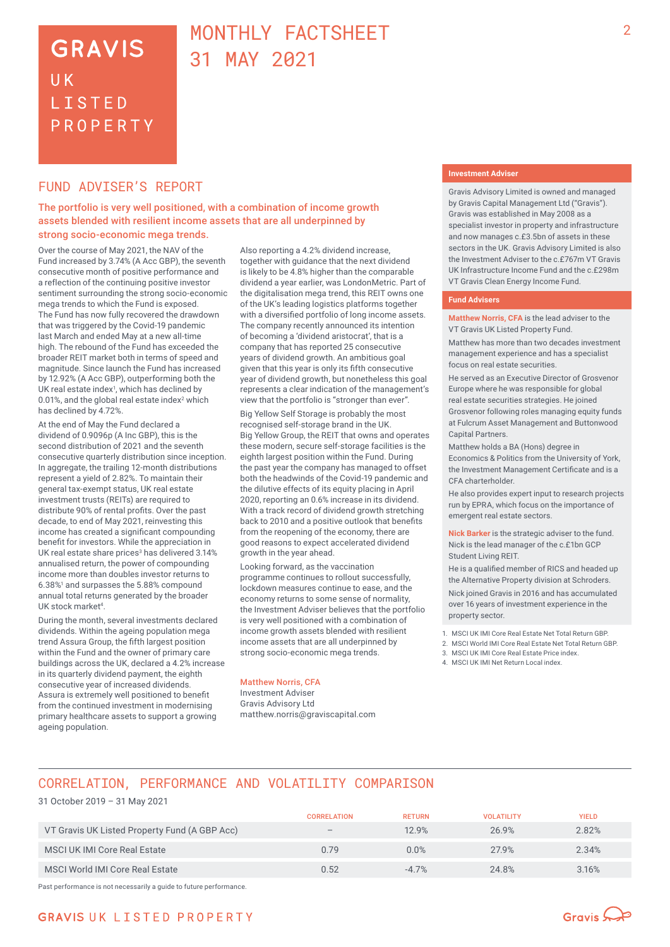## **GRAVIS** UK **LISTED** PROPERTY

## MONTHLY FACTSHEFT 31 MAY 2021

### FUND ADVISER'S REPORT

The portfolio is very well positioned, with a combination of income growth assets blended with resilient income assets that are all underpinned by strong socio-economic mega trends.

Over the course of May 2021, the NAV of the Fund increased by 3.74% (A Acc GBP), the seventh consecutive month of positive performance and a reflection of the continuing positive investor sentiment surrounding the strong socio-economic mega trends to which the Fund is exposed. The Fund has now fully recovered the drawdown that was triggered by the Covid-19 pandemic last March and ended May at a new all-time high. The rebound of the Fund has exceeded the broader REIT market both in terms of speed and magnitude. Since launch the Fund has increased by 12.92% (A Acc GBP), outperforming both the UK real estate index $\frac{1}{2}$ , which has declined by 0.01%, and the global real estate index<sup>2</sup> which has declined by 4.72%.

At the end of May the Fund declared a dividend of 0.9096p (A Inc GBP), this is the second distribution of 2021 and the seventh consecutive quarterly distribution since inception. In aggregate, the trailing 12-month distributions represent a yield of 2.82%. To maintain their general tax-exempt status, UK real estate investment trusts (REITs) are required to distribute 90% of rental profits. Over the past decade, to end of May 2021, reinvesting this income has created a significant compounding benefit for investors. While the appreciation in UK real estate share prices<sup>3</sup> has delivered 3.14% annualised return, the power of compounding income more than doubles investor returns to 6.38%<sup>1</sup> and surpasses the 5.88% compound annual total returns generated by the broader UK stock market<sup>4</sup>.

During the month, several investments declared dividends. Within the ageing population mega trend Assura Group, the fifth largest position within the Fund and the owner of primary care buildings across the UK, declared a 4.2% increase in its quarterly dividend payment, the eighth consecutive year of increased dividends. Assura is extremely well positioned to benefit from the continued investment in modernising primary healthcare assets to support a growing ageing population.

Also reporting a 4.2% dividend increase, together with guidance that the next dividend is likely to be 4.8% higher than the comparable dividend a year earlier, was LondonMetric. Part of the digitalisation mega trend, this REIT owns one of the UK's leading logistics platforms together with a diversified portfolio of long income assets. The company recently announced its intention of becoming a 'dividend aristocrat', that is a company that has reported 25 consecutive years of dividend growth. An ambitious goal given that this year is only its fifth consecutive year of dividend growth, but nonetheless this goal represents a clear indication of the management's view that the portfolio is "stronger than ever".

Big Yellow Self Storage is probably the most recognised self-storage brand in the UK. Big Yellow Group, the REIT that owns and operates these modern, secure self-storage facilities is the eighth largest position within the Fund. During the past year the company has managed to offset both the headwinds of the Covid-19 pandemic and the dilutive effects of its equity placing in April 2020, reporting an 0.6% increase in its dividend. With a track record of dividend growth stretching back to 2010 and a positive outlook that benefits from the reopening of the economy, there are good reasons to expect accelerated dividend growth in the year ahead.

Looking forward, as the vaccination programme continues to rollout successfully, lockdown measures continue to ease, and the economy returns to some sense of normality, the Investment Adviser believes that the portfolio is very well positioned with a combination of income growth assets blended with resilient income assets that are all underpinned by strong socio-economic mega trends.

#### Matthew Norris, CFA

Investment Adviser Gravis Advisory Ltd matthew.norris@graviscapital.com

#### **Investment Adviser**

Gravis Advisory Limited is owned and managed by Gravis Capital Management Ltd ("Gravis"). Gravis was established in May 2008 as a specialist investor in property and infrastructure and now manages c.£3.5bn of assets in these sectors in the UK. Gravis Advisory Limited is also the Investment Adviser to the c.£767m VT Gravis UK Infrastructure Income Fund and the c.£298m VT Gravis Clean Energy Income Fund.

#### **Fund Advisers**

**Matthew Norris, CFA** is the lead adviser to the VT Gravis UK Listed Property Fund.

Matthew has more than two decades investment management experience and has a specialist focus on real estate securities.

He served as an Executive Director of Grosvenor Europe where he was responsible for global real estate securities strategies. He joined Grosvenor following roles managing equity funds at Fulcrum Asset Management and Buttonwood Capital Partners.

Matthew holds a BA (Hons) degree in Economics & Politics from the University of York, the Investment Management Certificate and is a CFA charterholder.

He also provides expert input to research projects run by EPRA, which focus on the importance of emergent real estate sectors.

**Nick Barker** is the strategic adviser to the fund. Nick is the lead manager of the c.£1bn GCP Student Living REIT.

He is a qualified member of RICS and headed up the Alternative Property division at Schroders. Nick joined Gravis in 2016 and has accumulated over 16 years of investment experience in the property sector.

- 1. MSCI UK IMI Core Real Estate Net Total Return GBP.
- 2. MSCI World IMI Core Real Estate Net Total Return GBP.
- 3. MSCI UK IMI Core Real Estate Price index.
- 4. MSCI UK IMI Net Return Local index.

## CORRELATION, PERFORMANCE AND VOLATILITY COMPARISON

#### 31 October 2019 – 31 May 2021

|                                               | <b>CORRELATION</b>       | <b>RETURN</b> | <b>VOLATILITY</b> | <b>YIELD</b> |
|-----------------------------------------------|--------------------------|---------------|-------------------|--------------|
| VT Gravis UK Listed Property Fund (A GBP Acc) | $\overline{\phantom{m}}$ | 12.9%         | 26.9%             | 2.82%        |
| MSCI UK IMI Core Real Estate                  | 0.79                     | 0.0%          | 27.9%             | 2.34%        |
| MSCI World IMI Core Real Estate               | 0.52                     | $-4.7%$       | 24.8%             | 3.16%        |

Past performance is not necessarily a guide to future performance.